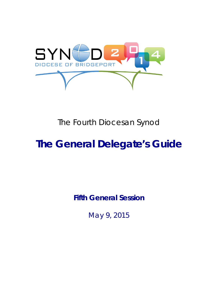

## The Fourth Diocesan Synod

# **The General Delegate's Guide**

**Fifth General Session**

May 9, 2015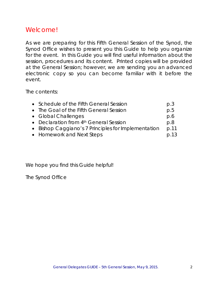## Welcome!

As we are preparing for this Fifth General Session of the Synod, the Synod Office wishes to present you this Guide to help you organize for the event. In this Guide you will find useful information about the session, procedures and its content. Printed copies will be provided at the General Session; however, we are sending you an advanced electronic copy so you can become familiar with it before the event.

The contents:

| • Schedule of the Fifth General Session             | p.3  |
|-----------------------------------------------------|------|
| • The Goal of the Fifth General Session             | p.5  |
| • Global Challenges                                 | p.6  |
| • Declaration from 4th General Session              | p.8  |
| • Bishop Caggiano's 7 Principles for Implementation | p.11 |
| • Homework and Next Steps                           | p.13 |

We hope you find this Guide helpful!

*The Synod Office*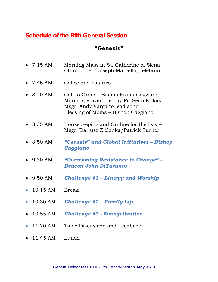## **Schedule of the Fifth General Session**

## **"Genesis"**

|           | • $7:15 \text{ AM}$ | Morning Mass in St. Catherine of Siena<br>Church – Fr. Joseph Marcello, celebrant                                                                        |
|-----------|---------------------|----------------------------------------------------------------------------------------------------------------------------------------------------------|
|           | • $7:45 \text{ AM}$ | Coffee and Pastries                                                                                                                                      |
|           | $8:20$ AM           | Call to Order - Bishop Frank Caggiano<br>Morning Prayer – led by Fr. Sean Kulacz;<br>Msgr. Andy Varga to lead song<br>Blessing of Moms – Bishop Caggiano |
|           | $8:35$ AM           | Housekeeping and Outline for the Day –<br>Msgr. Dariusz Zielonka/Patrick Turner                                                                          |
|           | $8:50$ AM           | "Genesis" and Global Initiatives – Bishop<br>Caggiano                                                                                                    |
|           | $9:30$ AM           | "Overcoming Resistance to Change" -<br><b>Deacon John DiTaranto</b>                                                                                      |
|           | $\bullet$ 9:50 AM   | <b>Challenge <math>#1</math> – Liturgy and Worship</b>                                                                                                   |
|           | $10:15 \text{ AM}$  | <b>Break</b>                                                                                                                                             |
| $\bullet$ | 10:30 AM            | <b>Challenge #2 - Family Life</b>                                                                                                                        |
|           | 10:55 AM            | <b>Challenge #3 - Evangelization</b>                                                                                                                     |
|           | $11:20$ AM          | Table Discussion and Feedback                                                                                                                            |
|           | 11:45 AM            | Lunch                                                                                                                                                    |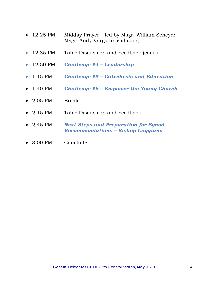- 12:25 PM Midday Prayer led by Msgr. William Scheyd; Msgr. Andy Varga to lead song
- 12:35 PM Table Discussion and Feedback (cont.)
- 12:50 PM *Challenge #4 – Leadership*
- 1:15 PM *Challenge #5 – Catechesis and Education*
- 1:40 PM *Challenge #6 – Empower the Young Church*
- $\bullet$  2:05 PM Break
- 2:15 PM Table Discussion and Feedback
- 2:45 PM *Next Steps and Preparation for Synod Recommendations – Bishop Caggiano*
- 3:00 PM Conclude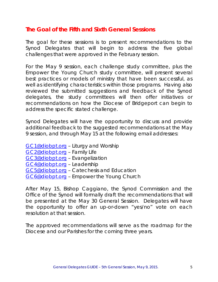## **The Goal of the Fifth and Sixth General Sessions**

The goal for these sessions is to present recommendations to the Synod Delegates that will begin to address the five global challenges that were approved in the February session.

For the May 9 session, each challenge study committee, plus the Empower the Young Church study committee, will present several best practices or models of ministry that have been successful, as well as identifying characteristics within those programs. Having also reviewed the submitted suggestions and feedback of the Synod delegates, the study committees will then offer initiatives or recommendations on how the Diocese of Bridgeport can begin to address the specific stated challenge.

Synod Delegates will have the opportunity to discuss and provide additional feedback to the suggested recommendations at the May 9 session, and through May 15 at the following email addresses:

[GC1@diobpt.org](mailto:GC1@diobpt.org) – Liturgy and Worship [GC2@diobpt.org](mailto:GC2@diobpt.org) – Family Life [GC3@diobpt.org](mailto:GC3@diobpt.org) – Evangelization [GC4@diobpt.org](mailto:GC4@diobpt.org) – Leadership [GC5@diobpt.org](mailto:GC5@diobpt.org) – Catechesis and Education [GC6@diobpt.org](mailto:GC6@diobpt.org) - Empower the Young Church

After May 15, Bishop Caggiano, the Synod Commission and the Office of the Synod will formally draft the recommendations that will be presented at the May 30 General Session. Delegates will have the opportunity to offer an up-or-down "yes/no" vote on each resolution at that session.

The approved recommendations will serve as the roadmap for the Diocese and our Parishes for the coming three years.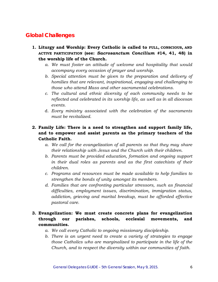## **Global Challenges**

- **1. Liturgy and Worship: Every Catholic is called to FULL, CONSCIOUS, AND ACTIVE PARTICIPATION (see:** *Sacrosanctum Concilium #***14, 41, 48) in the worship life of the Church.** 
	- *a. We must foster an attitude of welcome and hospitality that would accompany every occasion of prayer and worship.*
	- *b. Special attention must be given to the preparation and delivery of homilies that are relevant, inspirational, engaging and challenging to those who attend Mass and other sacramental celebrations.*
	- *c. The cultural and ethnic diversity of each community needs to be reflected and celebrated in its worship life, as well as in all diocesan events.*
	- d. *Every ministry associated with the celebration of the sacraments must be revitalized.*

#### **2. Family Life: There is a need to strengthen and support family life, and to empower and assist parents as the primary teachers of the Catholic Faith.**

- *a. We call for the evangelization of all parents so that they may share their relationship with Jesus and the Church with their children.*
- *b. Parents must be provided education, formation and ongoing support in their dual roles as parents and as the first catechists of their children.*
- *c. Programs and resources must be made available to help families to strengthen the bonds of unity amongst its members.*
- *d. Families that are confronting particular stressors, such as financial difficulties, employment issues, discrimination, immigration status, addiction, grieving and marital breakup, must be afforded effective pastoral care.*

#### **3. Evangelization: We must create concrete plans for evangelization through our parishes, schools, ecclesial movements, and communities.**

- *a. We call every Catholic to ongoing missionary discipleship.*
- *b. There is an urgent need to create a variety of strategies to engage those Catholics who are marginalized to participate in the life of the Church, and to respect the diversity within our communities of faith.*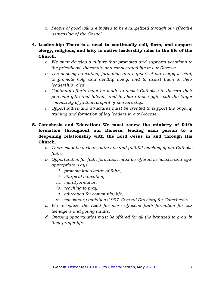- c. *People of good will are invited to be evangelized through our effective witnessing of the Gospel*.
- **4. Leadership: There is a need to continually call, form, and support clergy, religious, and laity in active leadership roles in the life of the Church.** 
	- *a. We must develop a culture that promotes and supports vocations to the priesthood, diaconate and consecrated life in our Diocese.*
	- *b. The ongoing education, formation and support of our clergy is vital, to promote holy and healthy living, and to assist them in their leadership roles*
	- *c. Continual efforts must be made to assist Catholics to discern their personal gifts and talents, and to share those gifts with the larger community of faith in a spirit of stewardship.*
	- d. *Opportunities and structures must be created to support the ongoing training and formation of lay leaders in our Diocese*.

#### **5. Catechesis and Education: We must renew the ministry of faith formation throughout our Diocese, leading each person to a deepening relationship with the Lord Jesus in and through His Church.**

- *a. There must be a clear, authentic and faithful teaching of our Catholic faith.*
- *b. Opportunities for faith formation must be offered in holistic and ageappropriate ways.*
	- *i. promote knowledge of faith,*
	- *ii. liturgical education,*
	- *iii. moral formation,*
	- *iv. teaching to pray,*
	- *v. education for community life,*
	- vi. *missionary initiation* (1997 *General Directory for Catechesis*).
- c. *We recognize the need for more effective faith formation for our teenagers and young adults.*
- *d. Ongoing opportunities must be offered for all the baptized to grow in their prayer life.*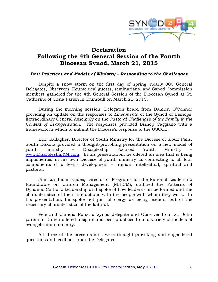

## **Declaration Following the 4th General Session of the Fourth Diocesan Synod, March 21, 2015**

#### *Best Practices and Models of Ministry – Responding to the Challenges*

Despite a snow storm on the first day of spring, nearly 300 General Delegates, Observers, Ecumenical guests, seminarians, and Synod Commission members gathered for the 4th General Session of the Diocesan Synod at St. Catherine of Siena Parish in Trumbull on March 21, 2015.

During the morning session, Delegates heard from Damien O'Connor providing an update on the responses to *Lineamenta* of the Synod of Bishops' Extraordinary General Assembly on the *Pastoral Challenges of the Family in the Context of Evangelization.* The responses provided Bishop Caggiano with a framework in which to submit the Diocese's response to the USCCB.

Eric Gallagher, Director of Youth Ministry for the Diocese of Sioux Falls, South Dakota provided a thought-provoking presentation on a new model of youth ministry – Discipleship Focused Youth Ministry – [www.DiscipleshipYM.com.](http://www.discipleshipym.com/) In his presentation, he offered an idea that is being implemented in his own Diocese of youth ministry as connecting to all four components of a teen's development – human, intellectual, spiritual and pastoral.

Jim Lundholm-Eades, Director of Programs for the National Leadership Roundtable on Church Management (NLRCM), outlined the Patterns of Dynamic Catholic Leadership and spoke of how leaders can be formed and the characteristics of their interactions with the people with whom they work. In his presentation, he spoke not just of clergy as being leaders, but of the necessary characteristics of the faithful.

Pete and Claudia Roux, a Synod delegate and Observer from St. John parish in Darien offered insights and best practices from a variety of models of evangelization ministry.

All three of the presentations were thought-provoking and engendered questions and feedback from the Delegates.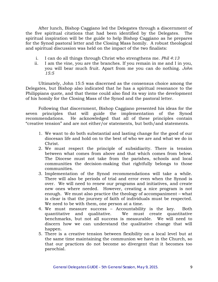After lunch, Bishop Caggiano led the Delegates through a discernment of the five spiritual citations that had been identified by the Delegates. The spiritual inspiration will be the guide to help Bishop Caggiano as he prepares for the Synod pastoral letter and the Closing Mass homily. A robust theological and spiritual discussion was held on the impact of the two finalists:

- i. I can do all things through Christ who strengthens me. *Phil 4:13*
- ii. I am the vine, you are the branches. If you remain in me and I in you, you will bear much fruit. Apart from me you can do nothing. *John 15:5*

Ultimately, John 15:5 was discerned as the consensus choice among the Delegates, but Bishop also indicated that he has a spiritual resonance to the Philippians quote, and that theme could also find its way into the development of his homily for the Closing Mass of the Synod and the pastoral letter.

Following that discernment, Bishop Caggiano presented his ideas for the seven principles that will guide the implementation of the Synod recommendations. He acknowledged that all of these principles contain "creative tension" and are not either/or statements, but both/and statements.

- 1. We want to do both substantial and lasting change for the good of our diocesan life and hold on to the best of who we are and what we do in Christ.
- 2. We must respect the principle of subsidiarity. There is tension between what comes from above and that which comes from below. The Diocese must not take from the parishes, schools and local communities the decision-making that rightfully belongs to those communities.
- 3. Implementation of the Synod recommendations will take a while. There will also be periods of trial and error even when the Synod is over. We will need to renew our programs and initiatives, and create new ones where needed. However, creating a nice program is not enough. We must also practice the theology of accompaniment – what is clear is that the journey of faith of individuals must be respected. We need to be with them, one person at a time.
- 4. We must measure success Accountability is the key. Both quantitative and qualitative. We must create quantitative benchmarks, but not all success is measurable. We will need to discern how we can understand the qualitative change that will happen.
- 5. There is a creative tension between flexibility on a local level but at the same time maintaining the communion we have in the Church, so that our practices do not become so divergent that it becomes too parochial.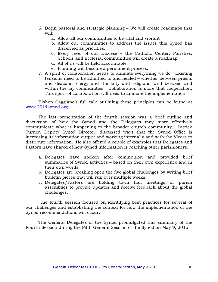- 6. Begin pastoral and strategic planning We will create roadmaps that will:
	- a. Allow all our communities to be vital and vibrant
	- b. Allow our communities to address the issues this Synod has discerned as priorities.
	- c. Every level of our Diocese the Catholic Center, Parishes, Schools and Ecclesial communities will create a roadmap.
	- d. All of us will be held accountable.
	- e. Planning will become a permanent process.
- 7. A spirit of collaboration needs to animate everything we do. Existing tensions need to be admitted to and healed – whether between priests and deacons, clergy and the laity and religious, and between and within the lay communities. Collaboration is more that cooperation. This spirit of collaboration will need to animate the implementation.

Bishop Caggiano's full talk outlining these principles can be found at [www.2014synod.org.](http://www.2014synod.org/)

The last presentation of the fourth session was a brief outline and discussion of how the Synod and the Delegates may more effectively communicate what is happening to the broader church community. Patrick Turner, Deputy Synod Director, discussed ways that the Synod Office is increasing its information output and working internally and with the Vicars to distribute information. He also offered a couple of examples that Delegates and Pastors have shared of how Synod information is reaching other parishioners.

- a. Delegates have spoken after communion and provided brief summaries of Synod activities – based on their own experience and in their own words.
- b. Delegates are breaking open the five global challenges by writing brief bulletin pieces that will run over multiple weeks.
- c. Delegates/Pastors are holding town hall meetings or parish assemblies to provide updates and receive feedback about the global challenges.

The fourth session focused on identifying best practices for several of our challenges and establishing the context for how the implementation of the Synod recommendations will occur.

The General Delegates of the Synod promulgated this summary of the Fourth Session during the Fifth General Session of the Synod on May 9, 2015.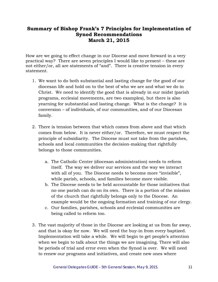#### **Summary of Bishop Frank's 7 Principles for Implementation of Synod Recommendations March 21, 2015**

How are we going to effect change in our Diocese and move forward in a very practical way? There are seven principles I would like to present – these are not either/or, all are statements of "and". There is creative tension in every statement.

- 1. We want to do both substantial and lasting change for the good of our diocesan life and hold on to the best of who we are and what we do in Christ. We need to identify the good that is already in our midst (parish programs, ecclesial movements, are two examples), but there is also yearning for substantial and lasting change. What is the change? It is conversion – of individuals, of our communities, and of our Diocesan family.
- 2. There is tension between that which comes from above and that which comes from below. It is never either/or. Therefore, we must respect the principle of subsidiarity. The Diocese must not take from the parishes, schools and local communities the decision-making that rightfully belongs to those communities.
	- a. The Catholic Center (diocesan administration) needs to reform itself. The way we deliver our services and the way we interact with all of you. The Diocese needs to become more "invisible", while parish, schools, and families become more visible.
	- b. The Diocese needs to be held accountable for those initiatives that no one parish can do on its own. There is a portion of the mission of the church that rightfully belongs only to the Diocese. An example would be the ongoing formation and training of our clergy.
	- c. Our families, parishes, schools and ecclesial communities are being called to reform too.
- 3. The vast majority of those in the Diocese are looking at us from far away, and that is okay for now. We will need the buy-in from every baptized. Implementation will take a while. We will begin to get people's attention when we begin to talk about the things we are imagining. There will also be periods of trial and error even when the Synod is over. We will need to renew our programs and initiatives, and create new ones where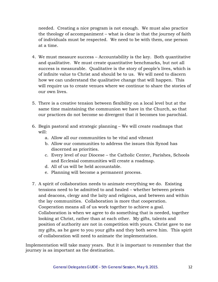needed. Creating a nice program is not enough. We must also practice the theology of accompaniment – what is clear is that the journey of faith of individuals must be respected. We need to be with them, one person at a time.

- 4. We must measure success Accountability is the key. Both quantitative and qualitative. We must create quantitative benchmarks, but not all success is measurable. Qualitative is the story of people's lives, which is of infinite value to Christ and should be to us. We will need to discern how we can understand the qualitative change that will happen. This will require us to create venues where we continue to share the stories of our own lives.
- 5. There is a creative tension between flexibility on a local level but at the same time maintaining the communion we have in the Church, so that our practices do not become so divergent that it becomes too parochial.
- 6. Begin pastoral and strategic planning We will create roadmaps that will:
	- a. Allow all our communities to be vital and vibrant
	- b. Allow our communities to address the issues this Synod has discerned as priorities.
	- c. Every level of our Diocese the Catholic Center, Parishes, Schools and Ecclesial communities will create a roadmap.
	- d. All of us will be held accountable.
	- e. Planning will become a permanent process.
- 7. A spirit of collaboration needs to animate everything we do. Existing tensions need to be admitted to and healed – whether between priests and deacons, clergy and the laity and religious, and between and within the lay communities. Collaboration is more that cooperation. Cooperation means all of us work together to achieve a goal. Collaboration is when we agree to do something that is needed, together looking at Christ, rather than at each other. My gifts, talents and position of authority are not in competition with yours. Christ gave to me my gifts, as he gave to you your gifts and they both serve him. This spirit of collaboration will need to animate the implementation.

Implementation will take many years. But it is important to remember that the journey is as important as the destination.